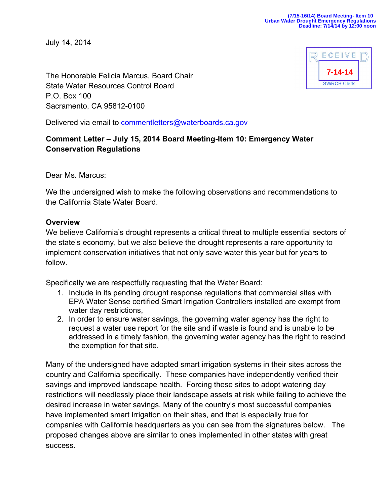July 14, 2014



The Honorable Felicia Marcus, Board Chair State Water Resources Control Board P.O. Box 100 Sacramento, CA 95812-0100

Delivered via email to commentletters@waterboards.ca.gov

# **Comment Letter – July 15, 2014 Board Meeting-Item 10: Emergency Water Conservation Regulations**

Dear Ms. Marcus:

We the undersigned wish to make the following observations and recommendations to the California State Water Board.

### **Overview**

We believe California's drought represents a critical threat to multiple essential sectors of the state's economy, but we also believe the drought represents a rare opportunity to implement conservation initiatives that not only save water this year but for years to follow.

Specifically we are respectfully requesting that the Water Board:

- 1. Include in its pending drought response regulations that commercial sites with EPA Water Sense certified Smart Irrigation Controllers installed are exempt from water day restrictions,
- 2. In order to ensure water savings, the governing water agency has the right to request a water use report for the site and if waste is found and is unable to be addressed in a timely fashion, the governing water agency has the right to rescind the exemption for that site.

Many of the undersigned have adopted smart irrigation systems in their sites across the country and California specifically. These companies have independently verified their savings and improved landscape health. Forcing these sites to adopt watering day restrictions will needlessly place their landscape assets at risk while failing to achieve the desired increase in water savings. Many of the country's most successful companies have implemented smart irrigation on their sites, and that is especially true for companies with California headquarters as you can see from the signatures below. The proposed changes above are similar to ones implemented in other states with great success.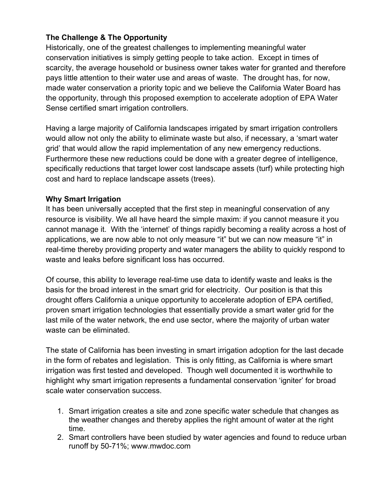## **The Challenge & The Opportunity**

Historically, one of the greatest challenges to implementing meaningful water conservation initiatives is simply getting people to take action. Except in times of scarcity, the average household or business owner takes water for granted and therefore pays little attention to their water use and areas of waste. The drought has, for now, made water conservation a priority topic and we believe the California Water Board has the opportunity, through this proposed exemption to accelerate adoption of EPA Water Sense certified smart irrigation controllers.

Having a large majority of California landscapes irrigated by smart irrigation controllers would allow not only the ability to eliminate waste but also, if necessary, a 'smart water grid' that would allow the rapid implementation of any new emergency reductions. Furthermore these new reductions could be done with a greater degree of intelligence, specifically reductions that target lower cost landscape assets (turf) while protecting high cost and hard to replace landscape assets (trees).

### **Why Smart Irrigation**

It has been universally accepted that the first step in meaningful conservation of any resource is visibility. We all have heard the simple maxim: if you cannot measure it you cannot manage it. With the 'internet' of things rapidly becoming a reality across a host of applications, we are now able to not only measure "it" but we can now measure "it" in real-time thereby providing property and water managers the ability to quickly respond to waste and leaks before significant loss has occurred.

Of course, this ability to leverage real-time use data to identify waste and leaks is the basis for the broad interest in the smart grid for electricity. Our position is that this drought offers California a unique opportunity to accelerate adoption of EPA certified, proven smart irrigation technologies that essentially provide a smart water grid for the last mile of the water network, the end use sector, where the majority of urban water waste can be eliminated.

The state of California has been investing in smart irrigation adoption for the last decade in the form of rebates and legislation. This is only fitting, as California is where smart irrigation was first tested and developed. Though well documented it is worthwhile to highlight why smart irrigation represents a fundamental conservation 'igniter' for broad scale water conservation success.

- 1. Smart irrigation creates a site and zone specific water schedule that changes as the weather changes and thereby applies the right amount of water at the right time.
- 2. Smart controllers have been studied by water agencies and found to reduce urban runoff by 50-71%; www.mwdoc.com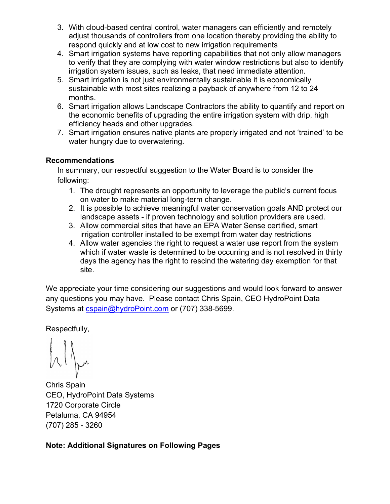- 3. With cloud-based central control, water managers can efficiently and remotely adjust thousands of controllers from one location thereby providing the ability to respond quickly and at low cost to new irrigation requirements
- 4. Smart irrigation systems have reporting capabilities that not only allow managers to verify that they are complying with water window restrictions but also to identify irrigation system issues, such as leaks, that need immediate attention.
- 5. Smart irrigation is not just environmentally sustainable it is economically sustainable with most sites realizing a payback of anywhere from 12 to 24 months.
- 6. Smart irrigation allows Landscape Contractors the ability to quantify and report on the economic benefits of upgrading the entire irrigation system with drip, high efficiency heads and other upgrades.
- 7. Smart irrigation ensures native plants are properly irrigated and not 'trained' to be water hungry due to overwatering.

### **Recommendations**

In summary, our respectful suggestion to the Water Board is to consider the following:

- 1. The drought represents an opportunity to leverage the public's current focus on water to make material long-term change.
- 2. It is possible to achieve meaningful water conservation goals AND protect our landscape assets - if proven technology and solution providers are used.
- 3. Allow commercial sites that have an EPA Water Sense certified, smart irrigation controller installed to be exempt from water day restrictions
- 4. Allow water agencies the right to request a water use report from the system which if water waste is determined to be occurring and is not resolved in thirty days the agency has the right to rescind the watering day exemption for that site.

We appreciate your time considering our suggestions and would look forward to answer any questions you may have. Please contact Chris Spain, CEO HydroPoint Data Systems at cspain@hydroPoint.com or (707) 338-5699.

Respectfully,

Chris Spain CEO, HydroPoint Data Systems 1720 Corporate Circle Petaluma, CA 94954 (707) 285 - 3260

# **Note: Additional Signatures on Following Pages**